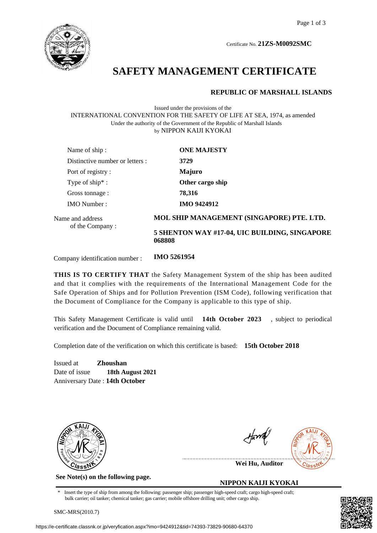

Certificate No. **21ZS-M0092SMC**

# **SAFETY MANAGEMENT CERTIFICATE**

#### **REPUBLIC OF MARSHALL ISLANDS**

Issued under the provisions of the INTERNATIONAL CONVENTION FOR THE SAFETY OF LIFE AT SEA, 1974, as amended Under the authority of the Government of the Republic of Marshall Islands by NIPPON KAIJI KYOKAI

| Name of ship:                       | <b>ONE MAJESTY</b>                                      |
|-------------------------------------|---------------------------------------------------------|
| Distinctive number or letters :     | 3729                                                    |
| Port of registry:                   | <b>Majuro</b>                                           |
| Type of ship <sup>*</sup> :         | Other cargo ship                                        |
| Gross tonnage :                     | 78,316                                                  |
| <b>IMO</b> Number:                  | <b>IMO 9424912</b>                                      |
| Name and address<br>of the Company: | MOL SHIP MANAGEMENT (SINGAPORE) PTE. LTD.               |
|                                     | 5 SHENTON WAY #17-04, UIC BUILDING, SINGAPORE<br>068808 |
|                                     |                                                         |

Company identification number : **IMO 5261954**

**THIS IS TO CERTIFY THAT** the Safety Management System of the ship has been audited and that it complies with the requirements of the International Management Code for the Safe Operation of Ships and for Pollution Prevention (ISM Code), following verification that the Document of Compliance for the Company is applicable to this type of ship.

This Safety Management Certificate is valid until **14th October 2023** , subject to periodical verification and the Document of Compliance remaining valid.

Completion date of the verification on which this certificate is based: **15th October 2018**

Issued at **Zhoushan** Date of issue **18th August 2021** Anniversary Date : **14th October**



**See Note(s) on the following page.**



**Wei Hu, Auditor**

#### **NIPPON KAIJI KYOKAI**

Insert the type of ship from among the following: passenger ship; passenger high-speed craft; cargo high-speed craft; bulk carrier; oil tanker; chemical tanker; gas carrier; mobile offshore drilling unit; other cargo ship.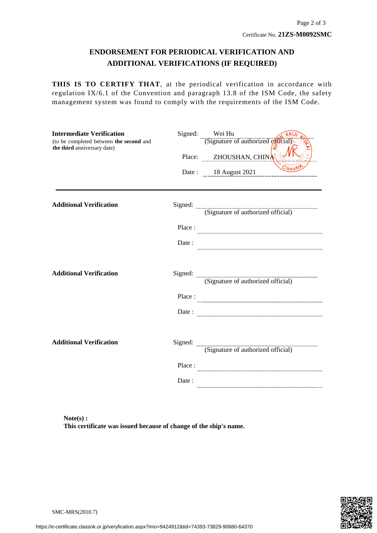### **ENDORSEMENT FOR PERIODICAL VERIFICATION AND ADDITIONAL VERIFICATIONS (IF REQUIRED)**

**THIS IS TO CERTIFY THAT**, at the periodical verification in accordance with regulation IX/6.1 of the Convention and paragraph 13.8 of the ISM Code, the safety management system was found to comply with the requirements of the ISM Code.

| <b>Intermediate Verification</b><br>(to be completed between the second and<br>the third anniversary date) |        | Signed: Wei Hu<br>$rac{WA}{Signature of authorized \sqrt{S}(cal)}$ |
|------------------------------------------------------------------------------------------------------------|--------|--------------------------------------------------------------------|
|                                                                                                            | Place: | ZHOUSHAN, CHINA                                                    |
|                                                                                                            |        | Date: 18 August 2021                                               |
| <b>Additional Verification</b>                                                                             |        | Signed: (Signature of authorized official)                         |
|                                                                                                            |        |                                                                    |
|                                                                                                            | Place: |                                                                    |
|                                                                                                            | Date:  |                                                                    |
|                                                                                                            |        |                                                                    |
| <b>Additional Verification</b>                                                                             |        | Signed: (Signature of authorized official)                         |
|                                                                                                            |        |                                                                    |
|                                                                                                            | Place: |                                                                    |
|                                                                                                            | Date : |                                                                    |
|                                                                                                            |        |                                                                    |
| <b>Additional Verification</b>                                                                             |        |                                                                    |
|                                                                                                            |        | Signed: (Signature of authorized official)                         |
|                                                                                                            | Place: |                                                                    |
|                                                                                                            | Date:  |                                                                    |

**Note(s) : This certificate was issued because of change of the ship's name.**